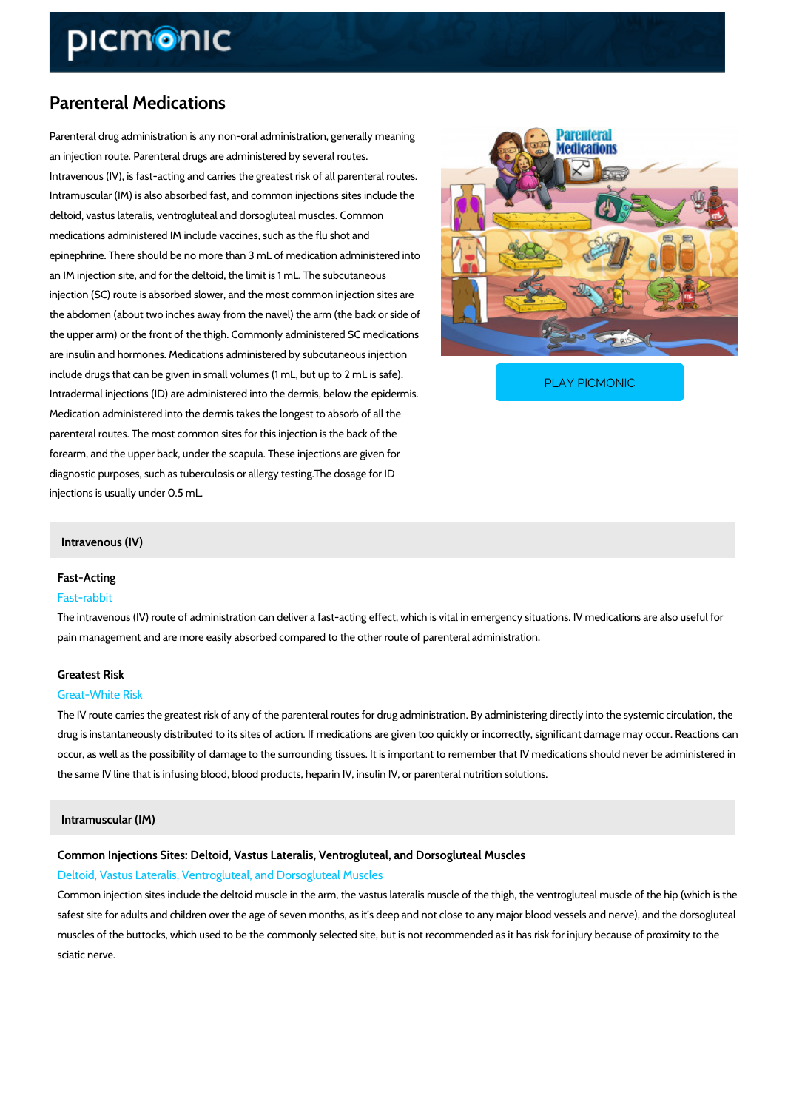# Parenteral Medications

Parenteral drug administration is any non-oral administration, generally meaning an injection route. Parenteral drugs are administered by several routes. Intravenous (IV), is fast-acting and carries the greatest risk of all parenteral routes. Intramuscular (IM) is also absorbed fast, and common injections sites include the deltoid, vastus lateralis, ventrogluteal and dorsogluteal muscles. Common medications administered IM include vaccines, such as the flu shot and epinephrine. There should be no more than 3 mL of medication administered into an IM injection site, and for the deltoid, the limit is 1 mL. The subcutaneous injection (SC) route is absorbed slower, and the most common injection sites are the abdomen (about two inches away from the navel) the arm (the back or side of the upper arm) or the front of the thigh. Commonly administered SC medications are insulin and hormones. Medications administered by subcutaneous injection

include drugs that can be given in small volumes (1 mL, b Intradermal injections (ID) are administered into the derm

PLAY PICMONIC

Medication administered into the dermis takes the longest to absorb of all the parenteral routes. The most common sites for this injection is the back of the forearm, and the upper back, under the scapula. These injections are given for diagnostic purposes, such as tuberculosis or allergy testing.The dosage for ID injections is usually under 0.5 mL.

## Intravenous (IV)

# Fast-Acting

## Fast-rabbit

The intravenous (IV) route of administration can deliver a fast-acting effect, which is vital in pain management and are more easily absorbed compared to the other route of parenteral adm

# Greatest Risk Great-White Risk

The IV route carries the greatest risk of any of the parenteral routes for drug administration. drug is instantaneously distributed to its sites of action. If medications are given too quickly occur, as well as the possibility of damage to the surrounding tissues. It is important to reme the same IV line that is infusing blood, blood products, heparin IV, insulin IV, or parenteral n

#### Intramuscular (IM)

Common Injections Sites: Deltoid, Vastus Lateralis, Ventrogluteal, and Dorsogluteal M Deltoid, Vastus Lateralis, Ventrogluteal, and Dorsogluteal Muscles

Common injection sites include the deltoid muscle in the arm, the vastus lateralis muscle of t safest site for adults and children over the age of seven months, as it s deep and not close to muscles of the buttocks, which used to be the commonly selected site, but is not recommende sciatic nerve.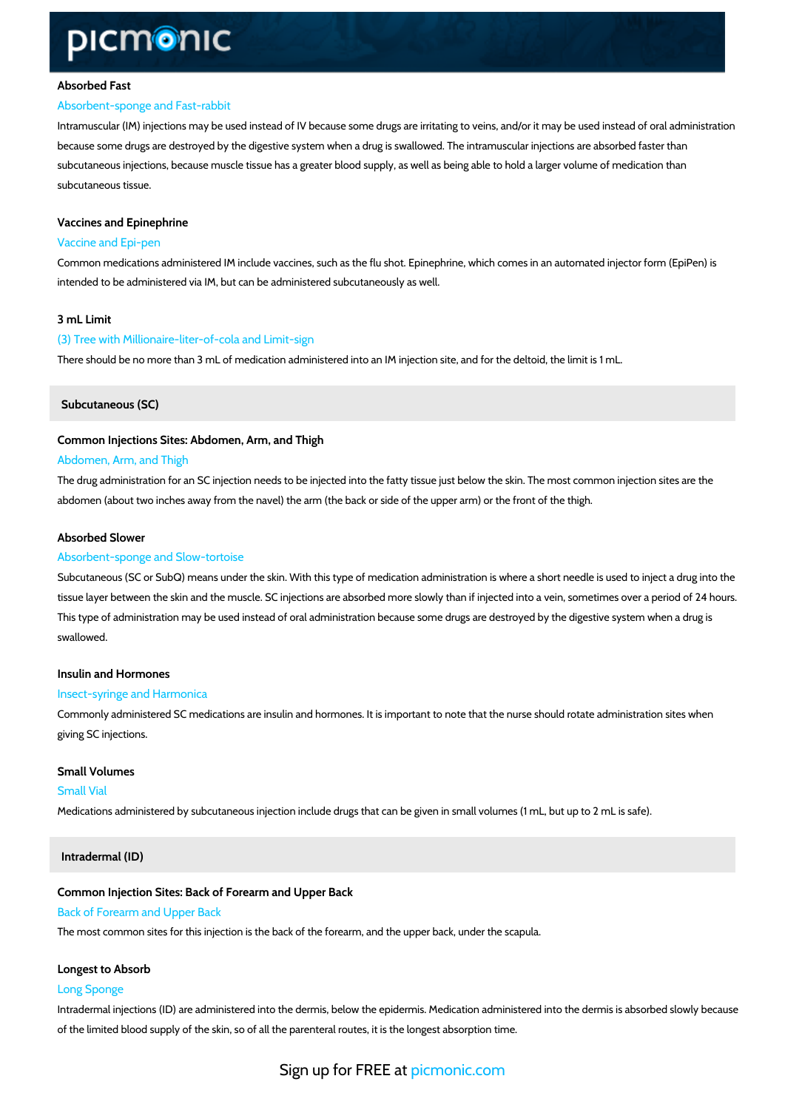#### Absorbed Fast

#### Absorbent-sponge and Fast-rabbit

Intramuscular (IM) injections may be used instead of IV because some drugs are irritating to v because some drugs are destroyed by the digestive system when a drug is swallowed. The intr subcutaneous injections, because muscle tissue has a greater blood supply, as well as being subcutaneous tissue.

# Vaccines and Epinephrine Vaccine and Epi-pen

Common medications administered IM include vaccines, such as the flu shot. Epinephrine, whi intended to be administered via IM, but can be administered subcutaneously as well.

#### 3 mL Limit

(3) Tree with Millionaire-liter-of-cola and Limit-sign There should be no more than 3 mL of medication administered into an IM injection site, and f

Subcutaneous (SC)

Common Injections Sites: Abdomen, Arm, and Thigh

#### Abdomen, Arm, and Thigh

The drug administration for an SC injection needs to be injected into the fatty tissue just below abdomen (about two inches away from the navel) the arm (the back or side of the upper arm) or

# Absorbed Slower

### Absorbent-sponge and Slow-tortoise

Subcutaneous (SC or SubQ) means under the skin. With this type of medication administration tissue layer between the skin and the muscle. SC injections are absorbed more slowly than if This type of administration may be used instead of oral administration because some drugs are swallowed.

# Insulin and Hormones

#### Insect-syringe and Harmonica

Commonly administered SC medications are insulin and hormones. It is important to note that giving SC injections.

Small Volumes Small Vial Medications administered by subcutaneous injection include drugs that can be given in small v

Intradermal (ID)

Common Injection Sites: Back of Forearm and Upper Back Back of Forearm and Upper Back The most common sites for this injection is the back of the forearm, and the upper back, unde

#### Longest to Absorb

## Long Sponge

Intradermal injections (ID) are administered into the dermis, below the epidermis. Medication of the limited blood supply of the skin, so of all the parenteral routes, it is the longest absor

Sign up for **FREE** at com